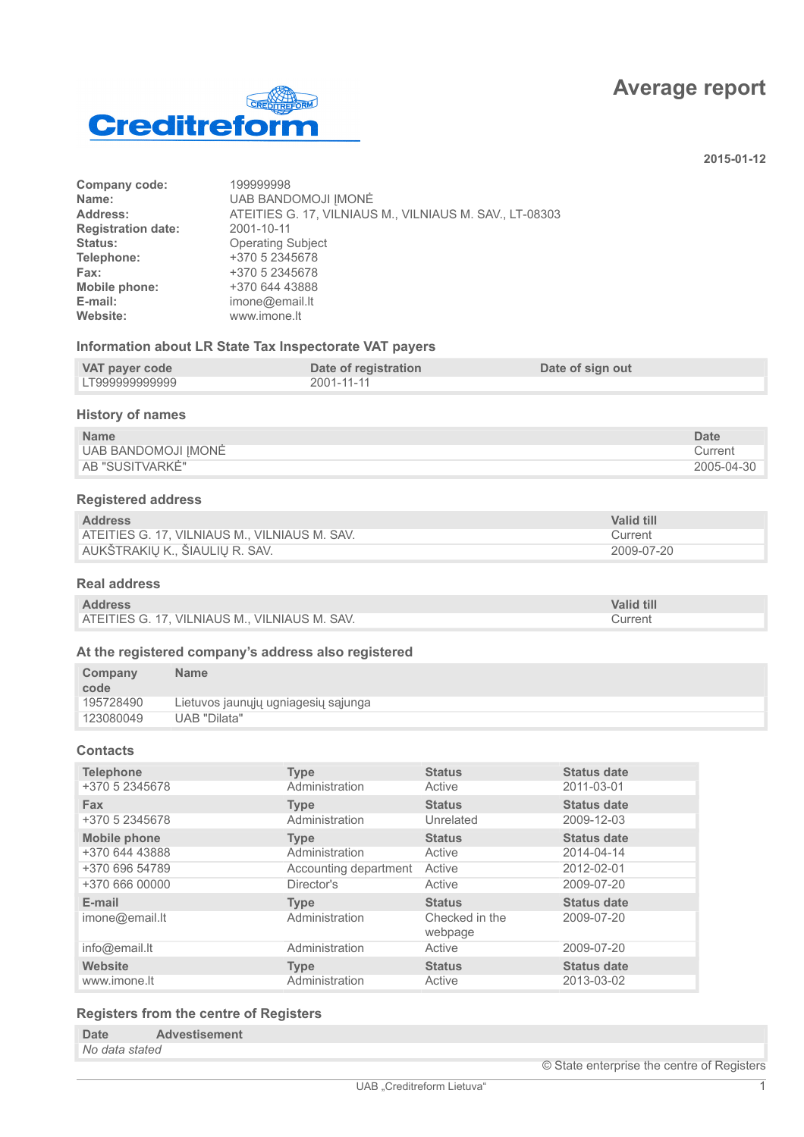# **Average report**



**2015-01-12**

| Company code:             | 199999998                                               |
|---------------------------|---------------------------------------------------------|
| Name:                     | <b>UAB BANDOMOJI IMONĖ</b>                              |
| Address:                  | ATEITIES G. 17, VILNIAUS M., VILNIAUS M. SAV., LT-08303 |
| <b>Registration date:</b> | 2001-10-11                                              |
| Status:                   | <b>Operating Subject</b>                                |
| Telephone:                | +370 5 2345678                                          |
| Fax:                      | +370 5 2345678                                          |
| Mobile phone:             | +370 644 43888                                          |
| E-mail:                   | imone@email.lt                                          |
| Website:                  | www.imone.lt                                            |
|                           |                                                         |

### **Information about LR State Tax Inspectorate VAT payers**

| VAT payer code | Date of registration | Date of sign out |
|----------------|----------------------|------------------|
| LT999999999999 | 2001-11-11           |                  |

# **History of names**

| <b>Name</b>         | Date       |
|---------------------|------------|
| UAB BANDOMOJI JMONĖ | Current    |
| AB "SUSITVARKĖ"     | 2005-04-30 |

# **Registered address**

| <b>Address</b>                                | <b>Valid till</b> |
|-----------------------------------------------|-------------------|
| ATEITIES G. 17, VILNIAUS M., VILNIAUS M. SAV. | Current           |
| AUKŠTRAKIŲ K., ŠIAULIŲ R. SAV.                | 2009-07-20        |

### **Real address**

| <b>Address</b>                                | <b>Valid till</b> |
|-----------------------------------------------|-------------------|
| ATEITIES G. 17, VILNIAUS M., VILNIAUS M. SAV. | Current           |

# **At the registered company's address also registered**

| Company<br>code | <b>Name</b>                         |
|-----------------|-------------------------------------|
| 195728490       | Lietuvos jaunųjų ugniagesių sąjunga |
| 123080049       | UAB "Dilata"                        |

# **Contacts**

| <b>Type</b>           | <b>Status</b>             | <b>Status date</b> |
|-----------------------|---------------------------|--------------------|
| Administration        | Active                    | 2011-03-01         |
| <b>Type</b>           | <b>Status</b>             | <b>Status date</b> |
| Administration        | Unrelated                 | 2009-12-03         |
| <b>Type</b>           | <b>Status</b>             | <b>Status date</b> |
| Administration        | Active                    | 2014-04-14         |
| Accounting department | Active                    | 2012-02-01         |
| Director's            | Active                    | 2009-07-20         |
| <b>Type</b>           | <b>Status</b>             | <b>Status date</b> |
| Administration        | Checked in the<br>webpage | 2009-07-20         |
| Administration        | Active                    | 2009-07-20         |
| <b>Type</b>           | <b>Status</b>             | <b>Status date</b> |
| Administration        | Active                    | 2013-03-02         |
|                       |                           |                    |

# **Registers from the centre of Registers**

| <b>Date</b>    | <b>Advestisement</b> |
|----------------|----------------------|
| No data stated |                      |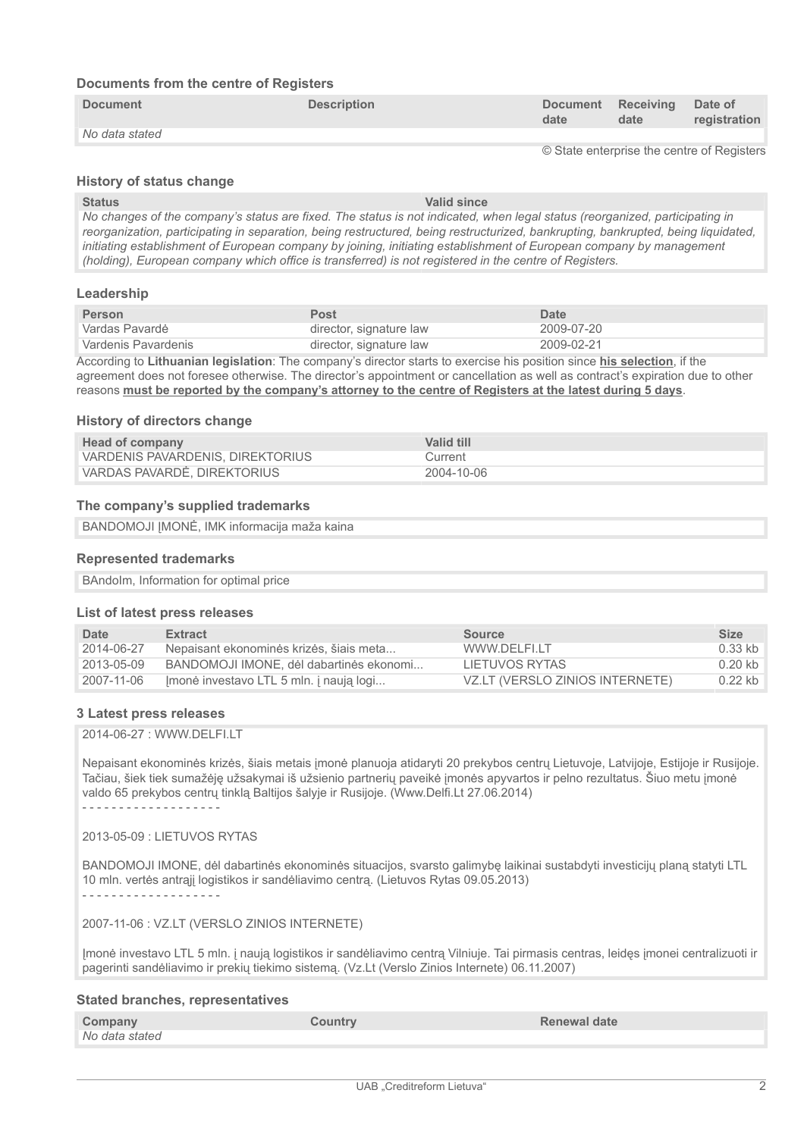### **Documents from the centre of Registers**

| <b>Document</b> | <b>Description</b> | date | Document Receiving Date of<br>date | registration |
|-----------------|--------------------|------|------------------------------------|--------------|
| No data stated  |                    |      |                                    |              |

© State enterprise the centre of Registers

### **History of status change**

**Status Valid since** *No changes of the company's status are fixed. The status is not indicated, when legal status (reorganized, participating in reorganization, participating in separation, being restructured, being restructurized, bankrupting, bankrupted, being liquidated, initiating establishment of European company by joining, initiating establishment of European company by management (holding), European company which office is transferred) is not registered in the centre of Registers.*

#### **Leadership**

| <b>Person</b>       | Post                    | Date       |
|---------------------|-------------------------|------------|
| Vardas Pavardė      | director, signature law | 2009-07-20 |
| Vardenis Pavardenis | director, signature law | 2009-02-21 |

According to **Lithuanian legislation**: The company's director starts to exercise his position since **his selection**, if the agreement does not foresee otherwise. The director's appointment or cancellation as well as contract's expiration due to other reasons **must be reported by the company's attorney to the centre of Registers at the latest during 5 days**.

#### **History of directors change**

| Head of company                  | Valid till |
|----------------------------------|------------|
| VARDENIS PAVARDENIS, DIREKTORIUS | Current    |
| VARDAS PAVARDE, DIREKTORIUS      | 2004-10-06 |

#### **The company's supplied trademarks**

BANDOMOJI IMONĖ, IMK informacija maža kaina

#### **Represented trademarks**

BAndoIm, Information for optimal price

#### **List of latest press releases**

| Date       | <b>Extract</b>                          | Source                          | <b>Size</b> |
|------------|-----------------------------------------|---------------------------------|-------------|
| 2014-06-27 | Nepaisant ekonominės krizės, šiais meta | WWW.DFLFLLT                     | $0.33$ kb   |
| 2013-05-09 | BANDOMOJI IMONE, dėl dabartinės ekonomi | LIETUVOS RYTAS                  | $0.20$ kb   |
| 2007-11-06 | Imonė investavo LTL 5 mln. į naują logi | VZ.LT (VERSLO ZINIOS INTERNETE) | $0.22$ kb   |

#### **3 Latest press releases**

2014-06-27 : WWW.DELFI.LT

Nepaisant ekonominės krizės, šiais metais įmonė planuoja atidaryti 20 prekybos centrų Lietuvoje, Latvijoje, Estijoje ir Rusijoje. Tačiau, šiek tiek sumažėję užsakymai iš užsienio partnerių paveikė įmonės apyvartos ir pelno rezultatus. Šiuo metu įmonė valdo 65 prekybos centrų tinklą Baltijos šalyje ir Rusijoje. (Www.Delfi.Lt 27.06.2014) - - - - - - - - - - - - - - - - - - -

2013-05-09 : LIETUVOS RYTAS

BANDOMOJI IMONE, dėl dabartinės ekonominės situacijos, svarsto galimybę laikinai sustabdyti investicijų planą statyti LTL 10 mln. vertės antrąjį logistikos ir sandėliavimo centrą. (Lietuvos Rytas 09.05.2013)

- - - - - - - - - - - - - - - - - - -

#### 2007-11-06 : VZ.LT (VERSLO ZINIOS INTERNETE)

Įmonė investavo LTL 5 mln. į naują logistikos ir sandėliavimo centrą Vilniuje. Tai pirmasis centras, leidęs įmonei centralizuoti ir pagerinti sandėliavimo ir prekių tiekimo sistemą. (Vz.Lt (Verslo Zinios Internete) 06.11.2007)

#### **Stated branches, representatives**

| Company        | <b>Country</b> | <b>Renewal date</b> |
|----------------|----------------|---------------------|
| No data stated |                |                     |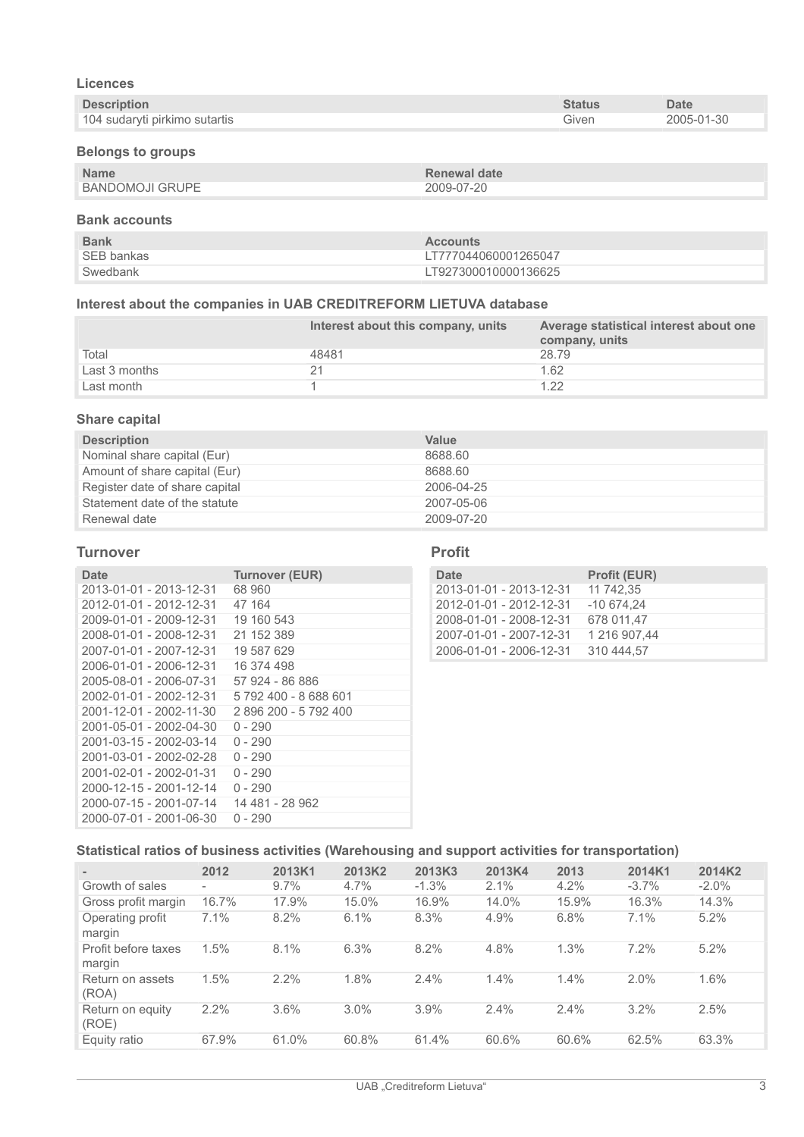# **Licences**

| <b>Description</b>            | <b>Status</b> | <b>Date</b> |
|-------------------------------|---------------|-------------|
| 104 sudaryti pirkimo sutartis | Given         | 2005-01-30  |

# **Belongs to groups**

| <b>Name</b>     | Renewal date |
|-----------------|--------------|
| BANDOMOJI GRUPE | 2009-07-20   |

# **Bank accounts**

| <b>Bank</b> | <b>Accounts</b>      |
|-------------|----------------------|
| SEB bankas  | LT777044060001265047 |
| Swedbank    | LT927300010000136625 |

# **Interest about the companies in UAB CREDITREFORM LIETUVA database**

|               | Interest about this company, units | Average statistical interest about one<br>company, units |
|---------------|------------------------------------|----------------------------------------------------------|
| Total         | 48481                              | 28.79                                                    |
| Last 3 months |                                    | 1.62                                                     |
| Last month    |                                    | 1.22                                                     |

## **Share capital**

| <b>Description</b>             | Value      |
|--------------------------------|------------|
| Nominal share capital (Eur)    | 8688.60    |
| Amount of share capital (Eur)  | 8688.60    |
| Register date of share capital | 2006-04-25 |
| Statement date of the statute  | 2007-05-06 |
| Renewal date                   | 2009-07-20 |

## **Turnover**

| Date                    | <b>Turnover (EUR)</b> |
|-------------------------|-----------------------|
| 2013-01-01 - 2013-12-31 | 68.960                |
| 2012-01-01 - 2012-12-31 | 47 164                |
| 2009-01-01 - 2009-12-31 | 19 160 543            |
| 2008-01-01 - 2008-12-31 | 21 152 389            |
| 2007-01-01 - 2007-12-31 | 19 587 629            |
| 2006-01-01 - 2006-12-31 | 16 374 498            |
| 2005-08-01 - 2006-07-31 | 57 924 - 86 886       |
| 2002-01-01 - 2002-12-31 | 5 792 400 - 8 688 601 |
| 2001-12-01 - 2002-11-30 | 2896200 - 5792400     |
| 2001-05-01 - 2002-04-30 | $0 - 290$             |
| 2001-03-15 - 2002-03-14 | $0 - 290$             |
| 2001-03-01 - 2002-02-28 | $0 - 290$             |
| 2001-02-01 - 2002-01-31 | $0 - 290$             |
| 2000-12-15 - 2001-12-14 | $0 - 290$             |
| 2000-07-15 - 2001-07-14 | 14 481 - 28 962       |
| 2000-07-01 - 2001-06-30 | $0 - 290$             |

#### **Profit**

| Date                    | <b>Profit (EUR)</b> |
|-------------------------|---------------------|
| 2013-01-01 - 2013-12-31 | 11 742.35           |
| 2012-01-01 - 2012-12-31 | $-10674.24$         |
| 2008-01-01 - 2008-12-31 | 678 011.47          |
| 2007-01-01 - 2007-12-31 | 1 216 907.44        |
| 2006-01-01 - 2006-12-31 | 310 444.57          |

# **Statistical ratios of business activities (Warehousing and support activities for transportation)**

| $\,$                          | 2012                     | 2013K1  | 2013K2 | 2013K3  | 2013K4 | 2013  | 2014K1   | 2014K2   |
|-------------------------------|--------------------------|---------|--------|---------|--------|-------|----------|----------|
| Growth of sales               | $\overline{\phantom{a}}$ | $9.7\%$ | 4.7%   | $-1.3%$ | 2.1%   | 4.2%  | $-3.7\%$ | $-2.0\%$ |
| Gross profit margin           | 16.7%                    | 17.9%   | 15.0%  | 16.9%   | 14.0%  | 15.9% | 16.3%    | 14.3%    |
| Operating profit<br>margin    | 7.1%                     | 8.2%    | 6.1%   | 8.3%    | 4.9%   | 6.8%  | 7.1%     | 5.2%     |
| Profit before taxes<br>margin | 1.5%                     | 8.1%    | 6.3%   | 8.2%    | 4.8%   | 1.3%  | 7.2%     | 5.2%     |
| Return on assets<br>(ROA)     | 1.5%                     | 2.2%    | 1.8%   | $2.4\%$ | 1.4%   | 1.4%  | 2.0%     | 1.6%     |
| Return on equity<br>(ROE)     | 2.2%                     | 3.6%    | 3.0%   | 3.9%    | 2.4%   | 2.4%  | 3.2%     | 2.5%     |
| Equity ratio                  | 67.9%                    | 61.0%   | 60.8%  | 61.4%   | 60.6%  | 60.6% | 62.5%    | 63.3%    |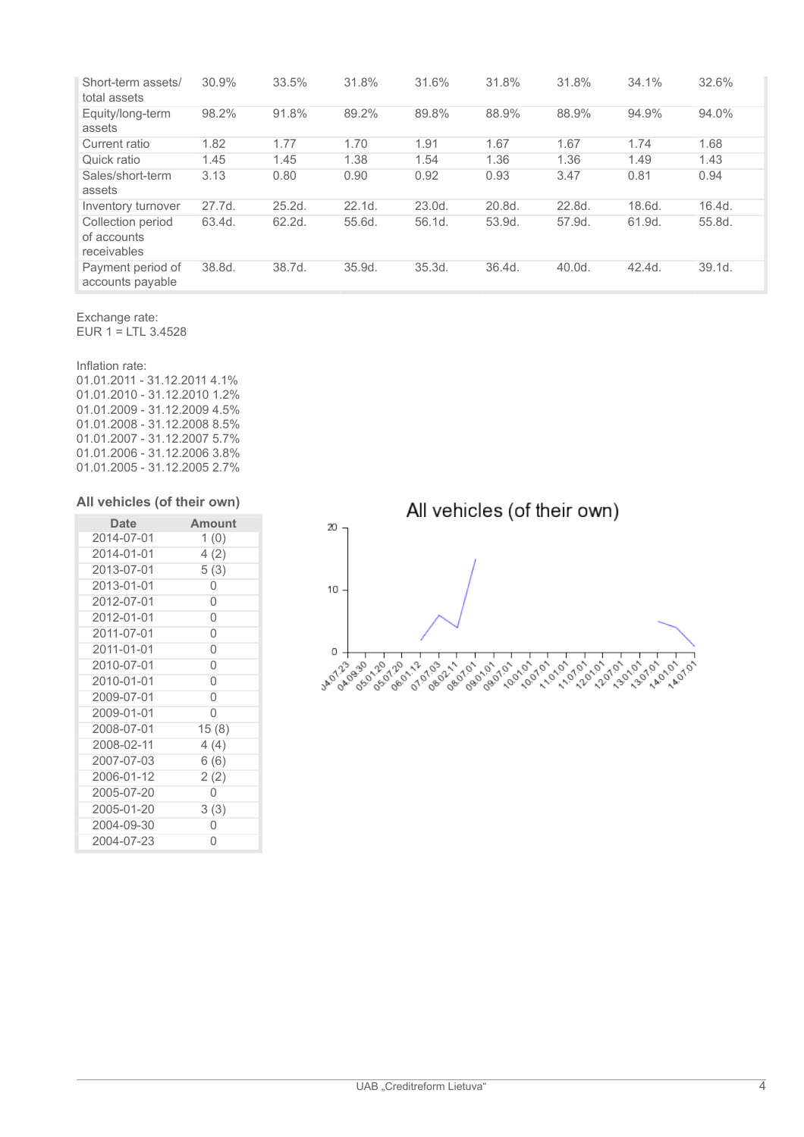| Short-term assets/<br>total assets              | 30.9%  | 33.5%  | 31.8%  | 31.6%  | 31.8%  | 31.8%  | 34.1%  | 32.6%  |
|-------------------------------------------------|--------|--------|--------|--------|--------|--------|--------|--------|
| Equity/long-term<br>assets                      | 98.2%  | 91.8%  | 89.2%  | 89.8%  | 88.9%  | 88.9%  | 94.9%  | 94.0%  |
| Current ratio                                   | 1.82   | 1.77   | 1.70   | 1.91   | 1.67   | 1.67   | 1.74   | 1.68   |
| Quick ratio                                     | 1.45   | 1.45   | 1.38   | 1.54   | 1.36   | 1.36   | 1.49   | 1.43   |
| Sales/short-term<br>assets                      | 3.13   | 0.80   | 0.90   | 0.92   | 0.93   | 3.47   | 0.81   | 0.94   |
| Inventory turnover                              | 27.7d. | 25.2d. | 22.1d. | 23.0d. | 20.8d. | 22.8d. | 18.6d. | 16.4d. |
| Collection period<br>of accounts<br>receivables | 63.4d. | 62.2d. | 55.6d. | 56.1d. | 53.9d. | 57.9d. | 61.9d. | 55.8d. |
| Payment period of<br>accounts payable           | 38.8d. | 38.7d. | 35.9d. | 35.3d. | 36.4d. | 40.0d. | 42.4d. | 39.1d. |

Exchange rate: EUR  $1 = LTL$  3.4528

# Inflation rate:

01.01.2011 - 31.12.2011 4.1% 01.01.2010 - 31.12.2010 1.2% 01.01.2009 - 31.12.2009 4.5% 01.01.2008 - 31.12.2008 8.5% 01.01.2007 - 31.12.2007 5.7% 01.01.2006 - 31.12.2006 3.8% 01.01.2005 - 31.12.2005 2.7%

### **All vehicles (of their own)**

| <b>Date</b> | <b>Amount</b> |
|-------------|---------------|
| 2014-07-01  | 1(0)          |
| 2014-01-01  | 4(2)          |
| 2013-07-01  | 5(3)          |
| 2013-01-01  | 0             |
| 2012-07-01  | 0             |
| 2012-01-01  | 0             |
| 2011-07-01  | 0             |
| 2011-01-01  | 0             |
| 2010-07-01  | 0             |
| 2010-01-01  | $\Omega$      |
| 2009-07-01  | 0             |
| 2009-01-01  | Ω             |
| 2008-07-01  | 15 (8)        |
| 2008-02-11  | 4(4)          |
| 2007-07-03  | 6 (6)         |
| 2006-01-12  | 2(2)          |
| 2005-07-20  | Ω             |
| 2005-01-20  | 3(3)          |
| 2004-09-30  | U             |
| 2004-07-23  | U             |

All vehicles (of their own)

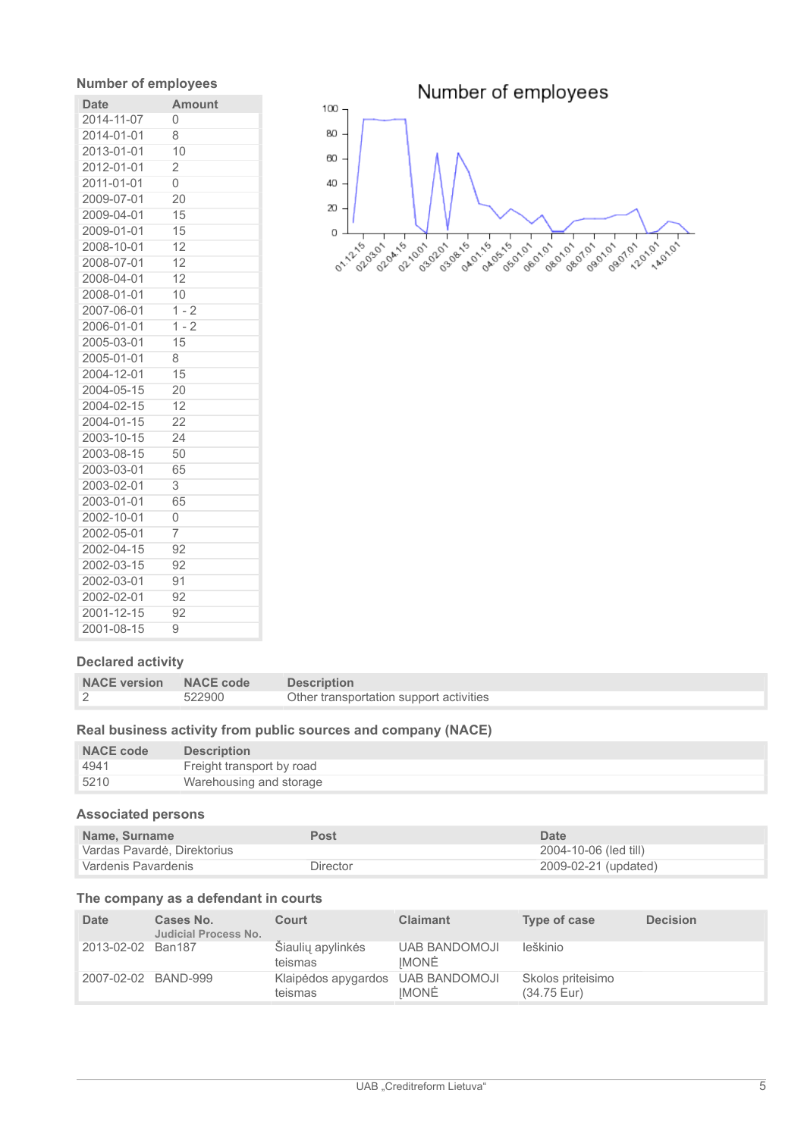# **Number of employees**

| <b>Date</b> | <b>Amount</b>  |
|-------------|----------------|
| 2014-11-07  | Ω              |
| 2014-01-01  | 8              |
| 2013-01-01  | 10             |
| 2012-01-01  | $\overline{2}$ |
| 2011-01-01  | 0              |
| 2009-07-01  | 20             |
| 2009-04-01  | 15             |
| 2009-01-01  | 15             |
| 2008-10-01  | 12             |
| 2008-07-01  | 12             |
| 2008-04-01  | 12             |
| 2008-01-01  | 10             |
| 2007-06-01  | $1 - 2$        |
| 2006-01-01  | $1 - 2$        |
| 2005-03-01  | 15             |
| 2005-01-01  | 8              |
| 2004-12-01  | 15             |
| 2004-05-15  | 20             |
| 2004-02-15  | 12             |
| 2004-01-15  | 22             |
| 2003-10-15  | 24             |
| 2003-08-15  | 50             |
| 2003-03-01  | 65             |
| 2003-02-01  | 3              |
| 2003-01-01  | 65             |
| 2002-10-01  | 0              |
| 2002-05-01  | 7              |
| 2002-04-15  | 92             |
| 2002-03-15  | 92             |
| 2002-03-01  | 91             |
| 2002-02-01  | 92             |
| 2001-12-15  | 92             |
| 2001-08-15  | 9              |



# **Declared activity**

| NACE version NACE code |        | <b>Description</b>                      |
|------------------------|--------|-----------------------------------------|
|                        | 522900 | Other transportation support activities |

### **Real business activity from public sources and company (NACE)**

| <b>NACE code</b> | <b>Description</b>        |
|------------------|---------------------------|
| 4941             | Freight transport by road |
| 5210             | Warehousing and storage   |

## **Associated persons**

| Name, Surname               | Post     | Date                  |
|-----------------------------|----------|-----------------------|
| Vardas Pavardė, Direktorius |          | 2004-10-06 (led till) |
| Vardenis Pavardenis         | Director | 2009-02-21 (updated)  |

### **The company as a defendant in courts**

| Date                | Cases No.<br><b>Judicial Process No.</b> | Court                          | <b>Claimant</b>                      | Type of case                     | <b>Decision</b> |
|---------------------|------------------------------------------|--------------------------------|--------------------------------------|----------------------------------|-----------------|
| 2013-02-02          | Ban187                                   | Siaulių apylinkės<br>teismas   | <b>UAB BANDOMOJI</b><br><b>IMONĖ</b> | leškinio                         |                 |
| 2007-02-02 BAND-999 |                                          | Klaipėdos apygardos<br>teismas | <b>UAB BANDOMOJI</b><br><b>IMONĖ</b> | Skolos priteisimo<br>(34.75 Eur) |                 |